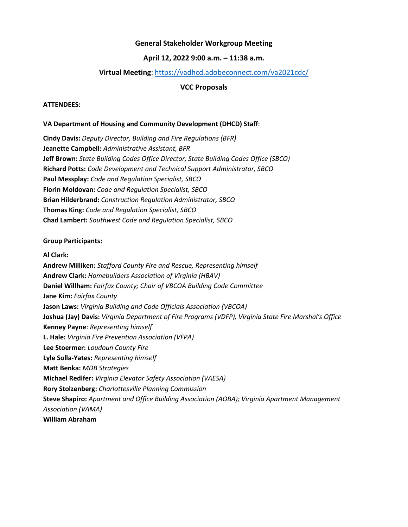## **General Stakeholder Workgroup Meeting**

### **April 12, 2022 9:00 a.m. – 11:38 a.m.**

## **Virtual Meeting**:<https://vadhcd.adobeconnect.com/va2021cdc/>

#### **VCC Proposals**

#### **ATTENDEES:**

#### **VA Department of Housing and Community Development (DHCD) Staff**:

**Cindy Davis:** *Deputy Director, Building and Fire Regulations (BFR)* **Jeanette Campbell:** *Administrative Assistant, BFR* **Jeff Brown:** *State Building Codes Office Director, State Building Codes Office (SBCO)* **Richard Potts:** *Code Development and Technical Support Administrator, SBCO* **Paul Messplay:** *Code and Regulation Specialist, SBCO* **Florin Moldovan:** *Code and Regulation Specialist, SBCO* **Brian Hilderbrand:** *Construction Regulation Administrator, SBCO* **Thomas King:** *Code and Regulation Specialist, SBCO* **Chad Lambert:** *Southwest Code and Regulation Specialist, SBCO*

#### **Group Participants:**

#### **Al Clark:**

**Andrew Milliken:** *Stafford County Fire and Rescue, Representing himself* **Andrew Clark:** *Homebuilders Association of Virginia (HBAV)* **Daniel Willham:** *Fairfax County; Chair of VBCOA Building Code Committee* **Jane Kim:** *Fairfax County* **Jason Laws:** *Virginia Building and Code Officials Association (VBCOA)* **Joshua (Jay) Davis:** *Virginia Department of Fire Programs (VDFP), Virginia State Fire Marshal's Office* **Kenney Payne**: *Representing himself* **L. Hale:** *Virginia Fire Prevention Association (VFPA)* **Lee Stoermer:** *Loudoun County Fire* **Lyle Solla-Yates:** *Representing himself* **Matt Benka:** *MDB Strategies* **Michael Redifer:** *Virginia Elevator Safety Association (VAESA)* **Rory Stolzenberg:** *Charlottesville Planning Commission* **Steve Shapiro:** *Apartment and Office Building Association (AOBA); Virginia Apartment Management Association (VAMA)* **William Abraham**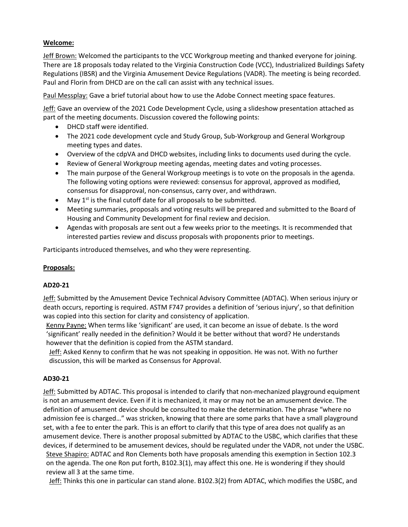## **Welcome:**

Jeff Brown: Welcomed the participants to the VCC Workgroup meeting and thanked everyone for joining. There are 18 proposals today related to the Virginia Construction Code (VCC), Industrialized Buildings Safety Regulations (IBSR) and the Virginia Amusement Device Regulations (VADR). The meeting is being recorded. Paul and Florin from DHCD are on the call can assist with any technical issues.

Paul Messplay: Gave a brief tutorial about how to use the Adobe Connect meeting space features.

Jeff: Gave an overview of the 2021 Code Development Cycle, using a slideshow presentation attached as part of the meeting documents. Discussion covered the following points:

- DHCD staff were identified.
- The 2021 code development cycle and Study Group, Sub-Workgroup and General Workgroup meeting types and dates.
- Overview of the cdpVA and DHCD websites, including links to documents used during the cycle.
- Review of General Workgroup meeting agendas, meeting dates and voting processes.
- The main purpose of the General Workgroup meetings is to vote on the proposals in the agenda. The following voting options were reviewed: consensus for approval, approved as modified, consensus for disapproval, non-consensus, carry over, and withdrawn.
- May  $1^{st}$  is the final cutoff date for all proposals to be submitted.
- Meeting summaries, proposals and voting results will be prepared and submitted to the Board of Housing and Community Development for final review and decision.
- Agendas with proposals are sent out a few weeks prior to the meetings. It is recommended that interested parties review and discuss proposals with proponents prior to meetings.

Participants introduced themselves, and who they were representing.

## **Proposals:**

## **AD20-21**

Jeff: Submitted by the Amusement Device Technical Advisory Committee (ADTAC). When serious injury or death occurs, reporting is required. ASTM F747 provides a definition of 'serious injury', so that definition was copied into this section for clarity and consistency of application.

Kenny Payne: When terms like 'significant' are used, it can become an issue of debate. Is the word 'significant' really needed in the definition? Would it be better without that word? He understands however that the definition is copied from the ASTM standard.

Jeff: Asked Kenny to confirm that he was not speaking in opposition. He was not. With no further discussion, this will be marked as Consensus for Approval.

## **AD30-21**

Jeff: Submitted by ADTAC. This proposal is intended to clarify that non-mechanized playground equipment is not an amusement device. Even if it is mechanized, it may or may not be an amusement device. The definition of amusement device should be consulted to make the determination. The phrase "where no admission fee is charged…" was stricken, knowing that there are some parks that have a small playground set, with a fee to enter the park. This is an effort to clarify that this type of area does not qualify as an amusement device. There is another proposal submitted by ADTAC to the USBC, which clarifies that these devices, if determined to be amusement devices, should be regulated under the VADR, not under the USBC. Steve Shapiro: ADTAC and Ron Clements both have proposals amending this exemption in Section 102.3 on the agenda. The one Ron put forth, B102.3(1), may affect this one. He is wondering if they should review all 3 at the same time.

Jeff: Thinks this one in particular can stand alone. B102.3(2) from ADTAC, which modifies the USBC, and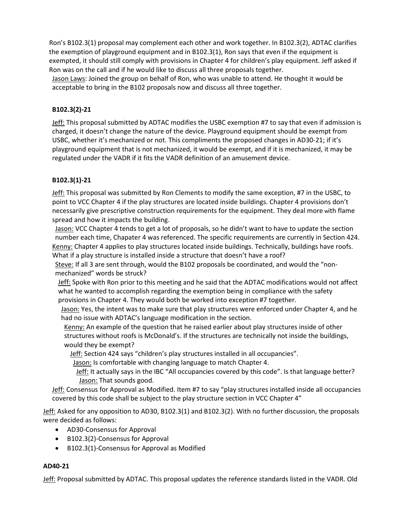Ron's B102.3(1) proposal may complement each other and work together. In B102.3(2), ADTAC clarifies the exemption of playground equipment and in B102.3(1), Ron says that even if the equipment is exempted, it should still comply with provisions in Chapter 4 for children's play equipment. Jeff asked if Ron was on the call and if he would like to discuss all three proposals together.

Jason Laws: Joined the group on behalf of Ron, who was unable to attend. He thought it would be acceptable to bring in the B102 proposals now and discuss all three together.

## **B102.3(2)-21**

Jeff: This proposal submitted by ADTAC modifies the USBC exemption #7 to say that even if admission is charged, it doesn't change the nature of the device. Playground equipment should be exempt from USBC, whether it's mechanized or not. This compliments the proposed changes in AD30-21; if it's playground equipment that is not mechanized, it would be exempt, and if it is mechanized, it may be regulated under the VADR if it fits the VADR definition of an amusement device.

## **B102.3(1)-21**

Jeff: This proposal was submitted by Ron Clements to modify the same exception, #7 in the USBC, to point to VCC Chapter 4 if the play structures are located inside buildings. Chapter 4 provisions don't necessarily give prescriptive construction requirements for the equipment. They deal more with flame spread and how it impacts the building.

Jason: VCC Chapter 4 tends to get a lot of proposals, so he didn't want to have to update the section number each time, Chapater 4 was referenced. The specific requirements are currently in Section 424. Kenny: Chapter 4 applies to play structures located inside buildings. Technically, buildings have roofs. What if a play structure is installed inside a structure that doesn't have a roof?

Steve: If all 3 are sent through, would the B102 proposals be coordinated, and would the "nonmechanized" words be struck?

Jeff: Spoke with Ron prior to this meeting and he said that the ADTAC modifications would not affect what he wanted to accomplish regarding the exemption being in compliance with the safety provisions in Chapter 4. They would both be worked into exception #7 together.

Jason: Yes, the intent was to make sure that play structures were enforced under Chapter 4, and he had no issue with ADTAC's language modification in the section.

Kenny: An example of the question that he raised earlier about play structures inside of other structures without roofs is McDonald's. If the structures are technically not inside the buildings, would they be exempt?

Jeff: Section 424 says "children's play structures installed in all occupancies".

Jason: Is comfortable with changing language to match Chapter 4.

Jeff: It actually says in the IBC "All occupancies covered by this code". Is that language better? Jason: That sounds good.

Jeff: Consensus for Approval as Modified. Item #7 to say "play structures installed inside all occupancies covered by this code shall be subject to the play structure section in VCC Chapter 4"

Jeff: Asked for any opposition to AD30, B102.3(1) and B102.3(2). With no further discussion, the proposals were decided as follows:

- AD30-Consensus for Approval
- B102.3(2)-Consensus for Approval
- B102.3(1)-Consensus for Approval as Modified

## **AD40-21**

Jeff: Proposal submitted by ADTAC. This proposal updates the reference standards listed in the VADR. Old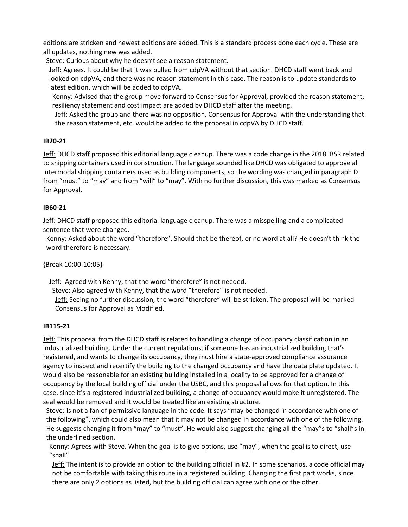editions are stricken and newest editions are added. This is a standard process done each cycle. These are all updates, nothing new was added.

Steve: Curious about why he doesn't see a reason statement.

Jeff: Agrees. It could be that it was pulled from cdpVA without that section. DHCD staff went back and looked on cdpVA, and there was no reason statement in this case. The reason is to update standards to latest edition, which will be added to cdpVA.

Kenny: Advised that the group move forward to Consensus for Approval, provided the reason statement, resiliency statement and cost impact are added by DHCD staff after the meeting.

Jeff: Asked the group and there was no opposition. Consensus for Approval with the understanding that the reason statement, etc. would be added to the proposal in cdpVA by DHCD staff.

# **IB20-21**

Jeff: DHCD staff proposed this editorial language cleanup. There was a code change in the 2018 IBSR related to shipping containers used in construction. The language sounded like DHCD was obligated to approve all intermodal shipping containers used as building components, so the wording was changed in paragraph D from "must" to "may" and from "will" to "may". With no further discussion, this was marked as Consensus for Approval.

# **IB60-21**

Jeff: DHCD staff proposed this editorial language cleanup. There was a misspelling and a complicated sentence that were changed.

Kenny: Asked about the word "therefore". Should that be thereof, or no word at all? He doesn't think the word therefore is necessary.

{Break 10:00-10:05}

Jeff: Agreed with Kenny, that the word "therefore" is not needed.

Steve: Also agreed with Kenny, that the word "therefore" is not needed.

Jeff: Seeing no further discussion, the word "therefore" will be stricken. The proposal will be marked Consensus for Approval as Modified.

# **IB115-21**

Jeff: This proposal from the DHCD staff is related to handling a change of occupancy classification in an industrialized building. Under the current regulations, if someone has an industrialized building that's registered, and wants to change its occupancy, they must hire a state-approved compliance assurance agency to inspect and recertify the building to the changed occupancy and have the data plate updated. It would also be reasonable for an existing building installed in a locality to be approved for a change of occupancy by the local building official under the USBC, and this proposal allows for that option. In this case, since it's a registered industrialized building, a change of occupancy would make it unregistered. The seal would be removed and it would be treated like an existing structure.

Steve: Is not a fan of permissive language in the code. It says "may be changed in accordance with one of the following", which could also mean that it may not be changed in accordance with one of the following. He suggests changing it from "may" to "must". He would also suggest changing all the "may"s to "shall"s in the underlined section.

Kenny: Agrees with Steve. When the goal is to give options, use "may", when the goal is to direct, use "shall".

Jeff: The intent is to provide an option to the building official in #2. In some scenarios, a code official may not be comfortable with taking this route in a registered building. Changing the first part works, since there are only 2 options as listed, but the building official can agree with one or the other.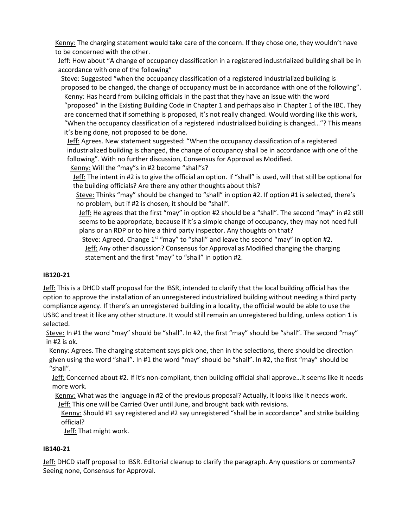Kenny: The charging statement would take care of the concern. If they chose one, they wouldn't have to be concerned with the other.

Jeff: How about "A change of occupancy classification in a registered industrialized building shall be in accordance with one of the following"

Steve: Suggested "when the occupancy classification of a registered industrialized building is proposed to be changed, the change of occupancy must be in accordance with one of the following". Kenny: Has heard from building officials in the past that they have an issue with the word

"proposed" in the Existing Building Code in Chapter 1 and perhaps also in Chapter 1 of the IBC. They are concerned that if something is proposed, it's not really changed. Would wording like this work, "When the occupancy classification of a registered industrialized building is changed…"? This means it's being done, not proposed to be done.

Jeff: Agrees. New statement suggested: "When the occupancy classification of a registered industrialized building is changed, the change of occupancy shall be in accordance with one of the following". With no further discussion, Consensus for Approval as Modified.

Kenny: Will the "may"s in #2 become "shall"s?

Jeff: The intent in #2 is to give the official an option. If "shall" is used, will that still be optional for the building officials? Are there any other thoughts about this?

Steve: Thinks "may" should be changed to "shall" in option #2. If option #1 is selected, there's no problem, but if #2 is chosen, it should be "shall".

Jeff: He agrees that the first "may" in option #2 should be a "shall". The second "may" in #2 still seems to be appropriate, because if it's a simple change of occupancy, they may not need full plans or an RDP or to hire a third party inspector. Any thoughts on that?

Steve: Agreed. Change 1<sup>st</sup> "may" to "shall" and leave the second "may" in option #2. Jeff: Any other discussion? Consensus for Approval as Modified changing the charging statement and the first "may" to "shall" in option #2.

# **IB120-21**

Jeff: This is a DHCD staff proposal for the IBSR, intended to clarify that the local building official has the option to approve the installation of an unregistered industrialized building without needing a third party compliance agency. If there's an unregistered building in a locality, the official would be able to use the USBC and treat it like any other structure. It would still remain an unregistered building, unless option 1 is selected.

Steve: In #1 the word "may" should be "shall". In #2, the first "may" should be "shall". The second "may" in #2 is ok.

Kenny: Agrees. The charging statement says pick one, then in the selections, there should be direction given using the word "shall". In #1 the word "may" should be "shall". In #2, the first "may" should be "shall".

Jeff: Concerned about #2. If it's non-compliant, then building official shall approve…it seems like it needs more work.

Kenny: What was the language in #2 of the previous proposal? Actually, it looks like it needs work. Jeff: This one will be Carried Over until June, and brought back with revisions.

Kenny: Should #1 say registered and #2 say unregistered "shall be in accordance" and strike building official?

Jeff: That might work.

# **IB140-21**

Jeff: DHCD staff proposal to IBSR. Editorial cleanup to clarify the paragraph. Any questions or comments? Seeing none, Consensus for Approval.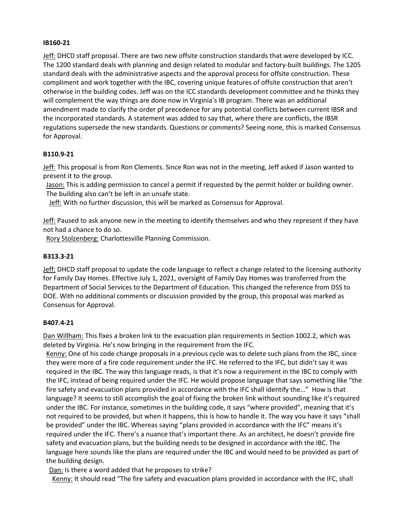#### **IB160-21**

Jeff: DHCD staff proposal. There are two new offsite construction standards that were developed by ICC. The 1200 standard deals with planning and design related to modular and factory-built buildings. The 1205 standard deals with the administrative aspects and the approval process for offsite construction. These compliment and work together with the IBC, covering unique features of offsite construction that aren't otherwise in the building codes. Jeff was on the ICC standards development committee and he thinks they will complement the way things are done now in Virginia's IB program. There was an additional amendment made to clarify the order pf precedence for any potential conflicts between current IBSR and the incorporated standards. A statement was added to say that, where there are conflicts, the IBSR regulations supersede the new standards. Questions or comments? Seeing none, this is marked Consensus for Approval.

#### **B110.9-21**

Jeff: This proposal is from Ron Clements. Since Ron was not in the meeting, Jeff asked if Jason wanted to present it to the group.

Jason: This is adding permission to cancel a permit if requested by the permit holder or building owner. The building also can't be left in an unsafe state.

Jeff: With no further discussion, this will be marked as Consensus for Approval.

Jeff: Paused to ask anyone new in the meeting to identify themselves and who they represent if they have not had a chance to do so.

Rory Stolzenberg: Charlottesville Planning Commission.

#### **B313.3-21**

Jeff: DHCD staff proposal to update the code language to reflect a change related to the licensing authority for Family Day Homes. Effective July 1, 2021, oversight of Family Day Homes was transferred from the Department of Social Services to the Department of Education. This changed the reference from DSS to DOE. With no additional comments or discussion provided by the group, this proposal was marked as Consensus for Approval.

#### **B407.4-21**

Dan Willham: This fixes a broken link to the evacuation plan requirements in Section 1002.2, which was deleted by Virginia. He's now bringing in the requirement from the IFC.

Kenny: One of his code change proposals in a previous cycle was to delete such plans from the IBC, since they were more of a fire code requirement under the IFC. He referred to the IFC, but didn't say it was required in the IBC. The way this language reads, is that it's now a requirement in the IBC to comply with the IFC, instead of being required under the IFC. He would propose language that says something like "the fire safety and evacuation plans provided in accordance with the IFC shall identify the…" How is that language? It seems to still accomplish the goal of fixing the broken link without sounding like it's required under the IBC. For instance, sometimes in the building code, it says "where provided", meaning that it's not required to be provided, but when it happens, this is how to handle it. The way you have it says "shall be provided" under the IBC. Whereas saying "plans provided in accordance with the IFC" means it's required under the IFC. There's a nuance that's important there. As an architect, he doesn't provide fire safety and evacuation plans, but the building needs to be designed in accordance with the IBC. The language here sounds like the plans are required under the IBC and would need to be provided as part of the building design.

Dan: Is there a word added that he proposes to strike?

Kenny: It should read "The fire safety and evacuation plans provided in accordance with the IFC, shall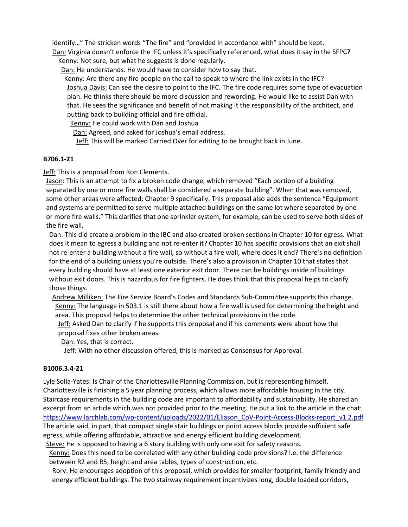identify…" The stricken words "The fire" and "provided in accordance with" should be kept. Dan: Virginia doesn't enforce the IFC unless it's specifically referenced, what does it say in the SFPC?

Kenny: Not sure, but what he suggests is done regularly.

Dan: He understands. He would have to consider how to say that.

Kenny: Are there any fire people on the call to speak to where the link exists in the IFC? Joshua Davis: Can see the desire to point to the IFC. The fire code requires some type of evacuation plan. He thinks there should be more discussion and rewording. He would like to assist Dan with that. He sees the significance and benefit of not making it the responsibility of the architect, and putting back to building official and fire official.

Kenny: He could work with Dan and Joshua

Dan: Agreed, and asked for Joshua's email address.

Jeff: This will be marked Carried Over for editing to be brought back in June.

## **B706.1-21**

Jeff: This is a proposal from Ron Clements.

Jason: This is an attempt to fix a broken code change, which removed "Each portion of a building separated by one or more fire walls shall be considered a separate building". When that was removed, some other areas were affected; Chapter 9 specifically. This proposal also adds the sentence "Equipment and systems are permitted to serve multiple attached buildings on the same lot where separated by one or more fire walls." This clarifies that one sprinkler system, for example, can be used to serve both sides of the fire wall.

Dan: This did create a problem in the IBC and also created broken sections in Chapter 10 for egress. What does it mean to egress a building and not re-enter it? Chapter 10 has specific provisions that an exit shall not re-enter a building without a fire wall, so without a fire wall, where does it end? There's no definition for the end of a building unless you're outside. There's also a provision in Chapter 10 that states that every building should have at least one exterior exit door. There can be buildings inside of buildings without exit doors. This is hazardous for fire fighters. He does think that this proposal helps to clarify those things.

Andrew Milliken: The Fire Service Board's Codes and Standards Sub-Committee supports this change. Kenny: The language in 503.1 is still there about how a fire wall is used for determining the height and area. This proposal helps to determine the other technical provisions in the code.

**Jeff:** Asked Dan to clarify if he supports this proposal and if his comments were about how the proposal fixes other broken areas.

Dan: Yes, that is correct.

Jeff: With no other discussion offered, this is marked as Consensus for Approval.

# **B1006.3.4-21**

Lyle Solla-Yates: Is Chair of the Charlottesville Planning Commission, but is representing himself. Charlottesville is finishing a 5 year planning process, which allows more affordable housing in the city. Staircase requirements in the building code are important to affordability and sustainability. He shared an excerpt from an article which was not provided prior to the meeting. He put a link to the article in the chat: [https://www.larchlab.com/wp-content/uploads/2022/01/Eliason\\_CoV-Point-Access-Blocks-report\\_v1.2.pdf](https://www.larchlab.com/wp-content/uploads/2022/01/Eliason_CoV-Point-Access-Blocks-report_v1.2.pdf) The article said, in part, that compact single stair buildings or point access blocks provide sufficient safe egress, while offering affordable, attractive and energy efficient building development.

Steve: He is opposed to having a 6 story building with only one exit for safety reasons.

Kenny: Does this need to be correlated with any other building code provisions? I.e. the difference between R2 and R5, height and area tables, types of construction, etc.

Rory: He encourages adoption of this proposal, which provides for smaller footprint, family friendly and energy efficient buildings. The two stairway requirement incentivizes long, double loaded corridors,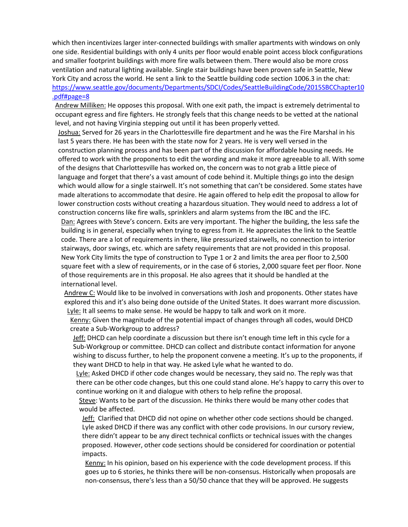which then incentivizes larger inter-connected buildings with smaller apartments with windows on only one side. Residential buildings with only 4 units per floor would enable point access block configurations and smaller footprint buildings with more fire walls between them. There would also be more cross ventilation and natural lighting available. Single stair buildings have been proven safe in Seattle, New York City and across the world. He sent a link to the Seattle building code section 1006.3 in the chat: [https://www.seattle.gov/documents/Departments/SDCI/Codes/SeattleBuildingCode/2015SBCChapter10](https://www.seattle.gov/documents/Departments/SDCI/Codes/SeattleBuildingCode/2015SBCChapter10.pdf#page=8) [.pdf#page=8](https://www.seattle.gov/documents/Departments/SDCI/Codes/SeattleBuildingCode/2015SBCChapter10.pdf#page=8)

Andrew Milliken: He opposes this proposal. With one exit path, the impact is extremely detrimental to occupant egress and fire fighters. He strongly feels that this change needs to be vetted at the national level, and not having Virginia stepping out until it has been properly vetted.

Joshua: Served for 26 years in the Charlottesville fire department and he was the Fire Marshal in his last 5 years there. He has been with the state now for 2 years. He is very well versed in the construction planning process and has been part of the discussion for affordable housing needs. He offered to work with the proponents to edit the wording and make it more agreeable to all. With some of the designs that Charlottesville has worked on, the concern was to not grab a little piece of language and forget that there's a vast amount of code behind it. Multiple things go into the design which would allow for a single stairwell. It's not something that can't be considered. Some states have made alterations to accommodate that desire. He again offered to help edit the proposal to allow for lower construction costs without creating a hazardous situation. They would need to address a lot of construction concerns like fire walls, sprinklers and alarm systems from the IBC and the IFC. Dan: Agrees with Steve's concern. Exits are very important. The higher the building, the less safe the building is in general, especially when trying to egress from it. He appreciates the link to the Seattle code. There are a lot of requirements in there, like pressurized stairwells, no connection to interior stairways, door swings, etc. which are safety requirements that are not provided in this proposal. New York City limits the type of construction to Type 1 or 2 and limits the area per floor to 2,500 square feet with a slew of requirements, or in the case of 6 stories, 2,000 square feet per floor. None of those requirements are in this proposal. He also agrees that it should be handled at the international level.

Andrew C: Would like to be involved in conversations with Josh and proponents. Other states have explored this and it's also being done outside of the United States. It does warrant more discussion. Lyle: It all seems to make sense. He would be happy to talk and work on it more.

Kenny: Given the magnitude of the potential impact of changes through all codes, would DHCD create a Sub-Workgroup to address?

Jeff: DHCD can help coordinate a discussion but there isn't enough time left in this cycle for a Sub-Workgroup or committee. DHCD can collect and distribute contact information for anyone wishing to discuss further, to help the proponent convene a meeting. It's up to the proponents, if they want DHCD to help in that way. He asked Lyle what he wanted to do.

Lyle: Asked DHCD if other code changes would be necessary, they said no. The reply was that there can be other code changes, but this one could stand alone. He's happy to carry this over to continue working on it and dialogue with others to help refine the proposal.

Steve: Wants to be part of the discussion. He thinks there would be many other codes that would be affected.

Jeff: Clarified that DHCD did not opine on whether other code sections should be changed. Lyle asked DHCD if there was any conflict with other code provisions. In our cursory review, there didn't appear to be any direct technical conflicts or technical issues with the changes proposed. However, other code sections should be considered for coordination or potential impacts.

Kenny: In his opinion, based on his experience with the code development process. If this goes up to 6 stories, he thinks there will be non-consensus. Historically when proposals are non-consensus, there's less than a 50/50 chance that they will be approved. He suggests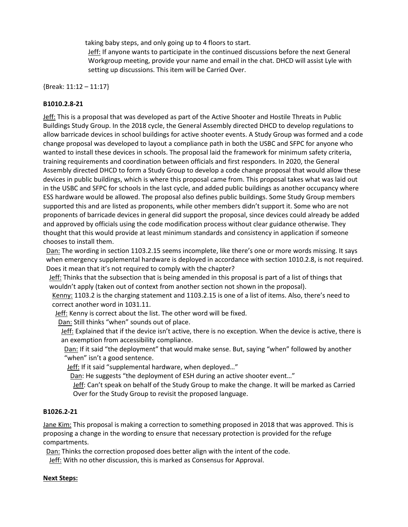taking baby steps, and only going up to 4 floors to start.

Jeff: If anyone wants to participate in the continued discussions before the next General Workgroup meeting, provide your name and email in the chat. DHCD will assist Lyle with setting up discussions. This item will be Carried Over.

{Break: 11:12 – 11:17}

## **B1010.2.8-21**

Jeff: This is a proposal that was developed as part of the Active Shooter and Hostile Threats in Public Buildings Study Group. In the 2018 cycle, the General Assembly directed DHCD to develop regulations to allow barricade devices in school buildings for active shooter events. A Study Group was formed and a code change proposal was developed to layout a compliance path in both the USBC and SFPC for anyone who wanted to install these devices in schools. The proposal laid the framework for minimum safety criteria, training requirements and coordination between officials and first responders. In 2020, the General Assembly directed DHCD to form a Study Group to develop a code change proposal that would allow these devices in public buildings, which is where this proposal came from. This proposal takes what was laid out in the USBC and SFPC for schools in the last cycle, and added public buildings as another occupancy where ESS hardware would be allowed. The proposal also defines public buildings. Some Study Group members supported this and are listed as proponents, while other members didn't support it. Some who are not proponents of barricade devices in general did support the proposal, since devices could already be added and approved by officials using the code modification process without clear guidance otherwise. They thought that this would provide at least minimum standards and consistency in application if someone chooses to install them.

Dan: The wording in section 1103.2.15 seems incomplete, like there's one or more words missing. It says when emergency supplemental hardware is deployed in accordance with section 1010.2.8, is not required. Does it mean that it's not required to comply with the chapter?

Jeff: Thinks that the subsection that is being amended in this proposal is part of a list of things that wouldn't apply (taken out of context from another section not shown in the proposal).

Kenny: 1103.2 is the charging statement and 1103.2.15 is one of a list of items. Also, there's need to correct another word in 1031.11.

Jeff: Kenny is correct about the list. The other word will be fixed.

Dan: Still thinks "when" sounds out of place.

Jeff: Explained that if the device isn't active, there is no exception. When the device is active, there is an exemption from accessibility compliance.

Dan: If it said "the deployment" that would make sense. But, saying "when" followed by another "when" isn't a good sentence.

Jeff: If it said "supplemental hardware, when deployed…"

Dan: He suggests "the deployment of ESH during an active shooter event…"

**Jeff:** Can't speak on behalf of the Study Group to make the change. It will be marked as Carried Over for the Study Group to revisit the proposed language.

# **B1026.2-21**

Jane Kim: This proposal is making a correction to something proposed in 2018 that was approved. This is proposing a change in the wording to ensure that necessary protection is provided for the refuge compartments.

Dan: Thinks the correction proposed does better align with the intent of the code.

Jeff: With no other discussion, this is marked as Consensus for Approval.

## **Next Steps:**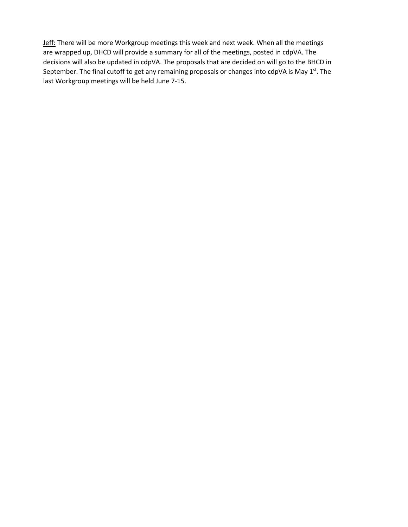Jeff: There will be more Workgroup meetings this week and next week. When all the meetings are wrapped up, DHCD will provide a summary for all of the meetings, posted in cdpVA. The decisions will also be updated in cdpVA. The proposals that are decided on will go to the BHCD in September. The final cutoff to get any remaining proposals or changes into cdpVA is May 1st. The last Workgroup meetings will be held June 7-15.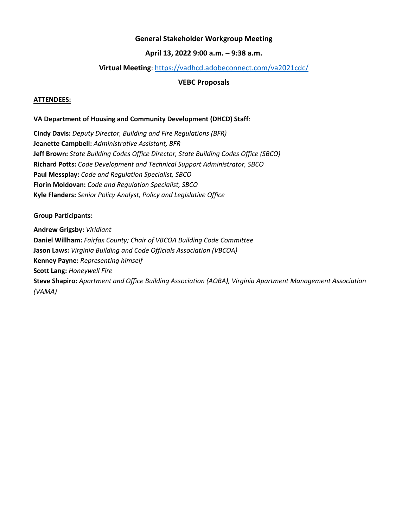# **General Stakeholder Workgroup Meeting**

## **April 13, 2022 9:00 a.m. – 9:38 a.m.**

## **Virtual Meeting**: <https://vadhcd.adobeconnect.com/va2021cdc/>

## **VEBC Proposals**

#### **ATTENDEES:**

#### **VA Department of Housing and Community Development (DHCD) Staff**:

**Cindy Davis:** *Deputy Director, Building and Fire Regulations (BFR)* **Jeanette Campbell:** *Administrative Assistant, BFR* **Jeff Brown:** *State Building Codes Office Director, State Building Codes Office (SBCO)* **Richard Potts:** *Code Development and Technical Support Administrator, SBCO* **Paul Messplay:** *Code and Regulation Specialist, SBCO* **Florin Moldovan:** *Code and Regulation Specialist, SBCO* **Kyle Flanders:** *Senior Policy Analyst, Policy and Legislative Office*

#### **Group Participants:**

**Andrew Grigsby:** *Viridiant* **Daniel Willham:** *Fairfax County; Chair of VBCOA Building Code Committee* **Jason Laws:** *Virginia Building and Code Officials Association (VBCOA)* **Kenney Payne:** *Representing himself* **Scott Lang:** *Honeywell Fire* **Steve Shapiro:** *Apartment and Office Building Association (AOBA), Virginia Apartment Management Association (VAMA)*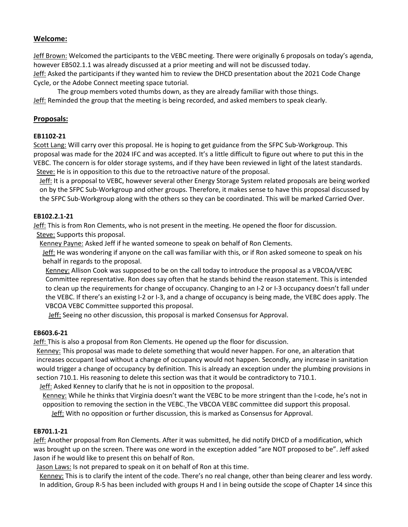# **Welcome:**

Jeff Brown: Welcomed the participants to the VEBC meeting. There were originally 6 proposals on today's agenda, however EB502.1.1 was already discussed at a prior meeting and will not be discussed today. Jeff: Asked the participants if they wanted him to review the DHCD presentation about the 2021 Code Change Cycle, or the Adobe Connect meeting space tutorial.

The group members voted thumbs down, as they are already familiar with those things. Jeff: Reminded the group that the meeting is being recorded, and asked members to speak clearly.

## **Proposals:**

## **EB1102-21**

Scott Lang: Will carry over this proposal. He is hoping to get guidance from the SFPC Sub-Workgroup. This proposal was made for the 2024 IFC and was accepted. It's a little difficult to figure out where to put this in the VEBC. The concern is for older storage systems, and if they have been reviewed in light of the latest standards. Steve: He is in opposition to this due to the retroactive nature of the proposal.

Jeff: It is a proposal to VEBC, however several other Energy Storage System related proposals are being worked on by the SFPC Sub-Workgroup and other groups. Therefore, it makes sense to have this proposal discussed by the SFPC Sub-Workgroup along with the others so they can be coordinated. This will be marked Carried Over.

## **EB102.2.1-21**

Jeff: This is from Ron Clements, who is not present in the meeting. He opened the floor for discussion.

Steve: Supports this proposal.

Kenney Payne: Asked Jeff if he wanted someone to speak on behalf of Ron Clements.

Jeff: He was wondering if anyone on the call was familiar with this, or if Ron asked someone to speak on his behalf in regards to the proposal.

Kenney: Allison Cook was supposed to be on the call today to introduce the proposal as a VBCOA/VEBC Committee representative. Ron does say often that he stands behind the reason statement. This is intended to clean up the requirements for change of occupancy. Changing to an I-2 or I-3 occupancy doesn't fall under the VEBC. If there's an existing I-2 or I-3, and a change of occupancy is being made, the VEBC does apply. The VBCOA VEBC Committee supported this proposal.

Jeff: Seeing no other discussion, this proposal is marked Consensus for Approval.

# **EB603.6-21**

Jeff: This is also a proposal from Ron Clements. He opened up the floor for discussion.

Kenney: This proposal was made to delete something that would never happen. For one, an alteration that increases occupant load without a change of occupancy would not happen. Secondly, any increase in sanitation would trigger a change of occupancy by definition. This is already an exception under the plumbing provisions in section 710.1. His reasoning to delete this section was that it would be contradictory to 710.1.

Jeff: Asked Kenney to clarify that he is not in opposition to the proposal.

Kenney: While he thinks that Virginia doesn't want the VEBC to be more stringent than the I-code, he's not in opposition to removing the section in the VEBC. The VBCOA VEBC committee did support this proposal. Jeff: With no opposition or further discussion, this is marked as Consensus for Approval.

## **EB701.1-21**

Jeff: Another proposal from Ron Clements. After it was submitted, he did notify DHCD of a modification, which was brought up on the screen. There was one word in the exception added "are NOT proposed to be". Jeff asked Jason if he would like to present this on behalf of Ron.

Jason Laws: Is not prepared to speak on it on behalf of Ron at this time.

Kenney: This is to clarify the intent of the code. There's no real change, other than being clearer and less wordy. In addition, Group R-5 has been included with groups H and I in being outside the scope of Chapter 14 since this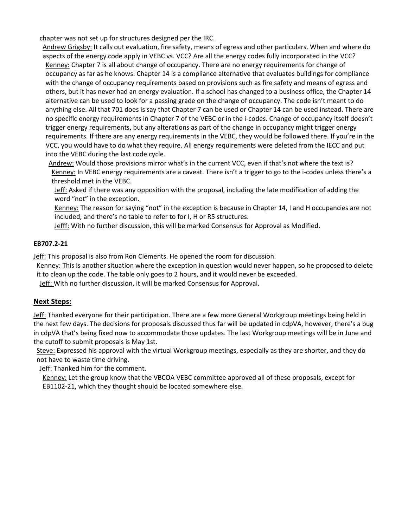chapter was not set up for structures designed per the IRC.

- Andrew Grigsby: It calls out evaluation, fire safety, means of egress and other particulars. When and where do aspects of the energy code apply in VEBC vs. VCC? Are all the energy codes fully incorporated in the VCC? Kenney: Chapter 7 is all about change of occupancy. There are no energy requirements for change of occupancy as far as he knows. Chapter 14 is a compliance alternative that evaluates buildings for compliance with the change of occupancy requirements based on provisions such as fire safety and means of egress and others, but it has never had an energy evaluation. If a school has changed to a business office, the Chapter 14 alternative can be used to look for a passing grade on the change of occupancy. The code isn't meant to do anything else. All that 701 does is say that Chapter 7 can be used or Chapter 14 can be used instead. There are no specific energy requirements in Chapter 7 of the VEBC or in the i-codes. Change of occupancy itself doesn't trigger energy requirements, but any alterations as part of the change in occupancy might trigger energy requirements. If there are any energy requirements in the VEBC, they would be followed there. If you're in the VCC, you would have to do what they require. All energy requirements were deleted from the IECC and put into the VEBC during the last code cycle.
	- Andrew: Would those provisions mirror what's in the current VCC, even if that's not where the text is? Kenney: In VEBC energy requirements are a caveat. There isn't a trigger to go to the i-codes unless there's a threshold met in the VEBC.
		- Jeff: Asked if there was any opposition with the proposal, including the late modification of adding the word "not" in the exception.
		- Kenney: The reason for saying "not" in the exception is because in Chapter 14, I and H occupancies are not included, and there's no table to refer to for I, H or R5 structures.
	- Jefff: With no further discussion, this will be marked Consensus for Approval as Modified.

## **EB707.2-21**

Jeff: This proposal is also from Ron Clements. He opened the room for discussion.

- Kenney: This is another situation where the exception in question would never happen, so he proposed to delete it to clean up the code. The table only goes to 2 hours, and it would never be exceeded.
- Jeff: With no further discussion, it will be marked Consensus for Approval.

# **Next Steps:**

Jeff: Thanked everyone for their participation. There are a few more General Workgroup meetings being held in the next few days. The decisions for proposals discussed thus far will be updated in cdpVA, however, there's a bug in cdpVA that's being fixed now to accommodate those updates. The last Workgroup meetings will be in June and the cutoff to submit proposals is May 1st.

Steve: Expressed his approval with the virtual Workgroup meetings, especially as they are shorter, and they do not have to waste time driving.

Jeff: Thanked him for the comment.

Kenney: Let the group know that the VBCOA VEBC committee approved all of these proposals, except for EB1102-21, which they thought should be located somewhere else.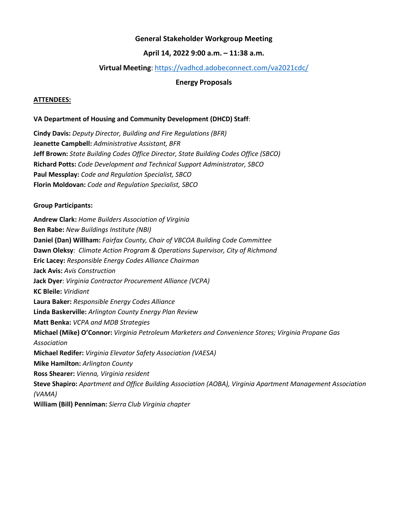## **General Stakeholder Workgroup Meeting**

# **April 14, 2022 9:00 a.m. – 11:38 a.m.**

## **Virtual Meeting**:<https://vadhcd.adobeconnect.com/va2021cdc/>

#### **Energy Proposals**

#### **ATTENDEES:**

#### **VA Department of Housing and Community Development (DHCD) Staff**:

**Cindy Davis:** *Deputy Director, Building and Fire Regulations (BFR)* **Jeanette Campbell:** *Administrative Assistant, BFR* **Jeff Brown:** *State Building Codes Office Director, State Building Codes Office (SBCO)* **Richard Potts:** *Code Development and Technical Support Administrator, SBCO* **Paul Messplay:** *Code and Regulation Specialist, SBCO* **Florin Moldovan:** *Code and Regulation Specialist, SBCO*

#### **Group Participants:**

**Andrew Clark:** *Home Builders Association of Virginia* **Ben Rabe:** *New Buildings Institute (NBI)* **Daniel (Dan) Willham:** *Fairfax County, Chair of VBCOA Building Code Committee* **Dawn Oleksy**: *Climate Action Program & Operations Supervisor, City of Richmond* **Eric Lacey:** *Responsible Energy Codes Alliance Chairman* **Jack Avis:** *Avis Construction* **Jack Dyer**: *Virginia Contractor Procurement Alliance (VCPA)* **KC Bleile:** *Viridiant* **Laura Baker:** *Responsible Energy Codes Alliance* **Linda Baskerville:** *Arlington County Energy Plan Review* **Matt Benka:** *VCPA and MDB Strategies* **Michael (Mike) O'Connor:** *Virginia Petroleum Marketers and Convenience Stores; Virginia Propane Gas Association* **Michael Redifer:** *Virginia Elevator Safety Association (VAESA)* **Mike Hamilton:** *Arlington County* **Ross Shearer:** *Vienna, Virginia resident* **Steve Shapiro:** *Apartment and Office Building Association (AOBA), Virginia Apartment Management Association (VAMA)* **William (Bill) Penniman:** *Sierra Club Virginia chapter*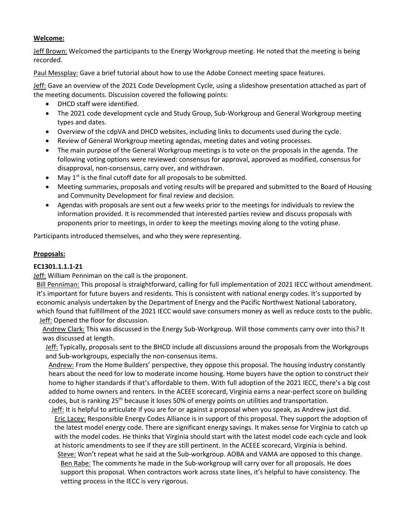## **Welcome:**

Jeff Brown: Welcomed the participants to the Energy Workgroup meeting. He noted that the meeting is being recorded.

Paul Messplay: Gave a brief tutorial about how to use the Adobe Connect meeting space features.

Jeff: Gave an overview of the 2021 Code Development Cycle, using a slideshow presentation attached as part of the meeting documents. Discussion covered the following points:

- DHCD staff were identified.
- The 2021 code development cycle and Study Group, Sub-Workgroup and General Workgroup meeting types and dates.
- Overview of the cdpVA and DHCD websites, including links to documents used during the cycle.
- Review of General Workgroup meeting agendas, meeting dates and voting processes.
- The main purpose of the General Workgroup meetings is to vote on the proposals in the agenda. The following voting options were reviewed: consensus for approval, approved as modified, consensus for disapproval, non-consensus, carry over, and withdrawn.
- May  $1<sup>st</sup>$  is the final cutoff date for all proposals to be submitted.
- Meeting summaries, proposals and voting results will be prepared and submitted to the Board of Housing and Community Development for final review and decision.
- Agendas with proposals are sent out a few weeks prior to the meetings for individuals to review the information provided. It is recommended that interested parties review and discuss proposals with proponents prior to meetings, in order to keep the meetings moving along to the voting phase.

Participants introduced themselves, and who they were representing.

# **Proposals:**

## **EC1301.1.1.1-21**

Jeff: William Penniman on the call is the proponent.

Bill Penniman: This proposal is straightforward, calling for full implementation of 2021 IECC without amendment. It's important for future buyers and residents. This is consistent with national energy codes. It's supported by economic analysis undertaken by the Department of Energy and the Pacific Northwest National Laboratory, which found that fulfillment of the 2021 IECC would save consumers money as well as reduce costs to the public. Jeff: Opened the floor for discussion.

Andrew Clark: This was discussed in the Energy Sub-Workgroup. Will those comments carry over into this? It was discussed at length.

Jeff: Typically, proposals sent to the BHCD include all discussions around the proposals from the Workgroups and Sub-workgroups, especially the non-consensus items.

Andrew: From the Home Builders' perspective, they oppose this proposal. The housing industry constantly hears about the need for low to moderate income housing. Home buyers have the option to construct their home to higher standards if that's affordable to them. With full adoption of the 2021 IECC, there's a big cost added to home owners and renters. In the ACEEE scorecard, Virginia earns a near-perfect score on building codes, but is ranking 25<sup>th</sup> because it loses 50% of energy points on utilities and transportation.

Jeff: It is helpful to articulate if you are for or against a proposal when you speak, as Andrew just did. Eric Lacey: Responsible Energy Codes Alliance is in support of this proposal. They support the adoption of the latest model energy code. There are significant energy savings. It makes sense for Virginia to catch up with the model codes. He thinks that Virginia should start with the latest model code each cycle and look at historic amendments to see if they are still pertinent. In the ACEEE scorecard, Virginia is behind.

Steve: Won't repeat what he said at the Sub-workgroup. AOBA and VAMA are opposed to this change. Ben Rabe: The comments he made in the Sub-workgroup will carry over for all proposals. He does support this proposal. When contractors work across state lines, it's helpful to have consistency. The vetting process in the IECC is very rigorous.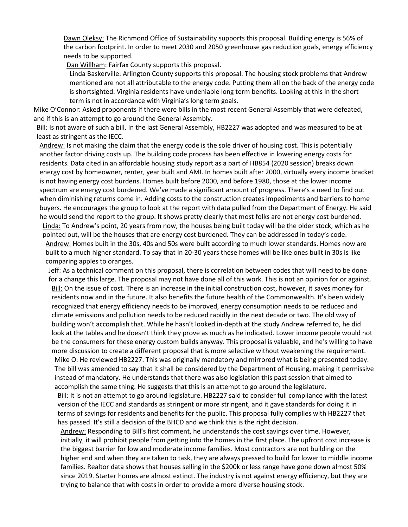Dawn Oleksy: The Richmond Office of Sustainability supports this proposal. Building energy is 56% of the carbon footprint. In order to meet 2030 and 2050 greenhouse gas reduction goals, energy efficiency needs to be supported.

Dan Willham: Fairfax County supports this proposal.

Linda Baskerville: Arlington County supports this proposal. The housing stock problems that Andrew mentioned are not all attributable to the energy code. Putting them all on the back of the energy code is shortsighted. Virginia residents have undeniable long term benefits. Looking at this in the short term is not in accordance with Virginia's long term goals.

Mike O'Connor: Asked proponents if there were bills in the most recent General Assembly that were defeated, and if this is an attempt to go around the General Assembly.

Bill: Is not aware of such a bill. In the last General Assembly, HB2227 was adopted and was measured to be at least as stringent as the IECC.

Andrew: Is not making the claim that the energy code is the sole driver of housing cost. This is potentially another factor driving costs up. The building code process has been effective in lowering energy costs for residents. Data cited in an affordable housing study report as a part of HB854 (2020 session) breaks down energy cost by homeowner, renter, year built and AMI. In homes built after 2000, virtually every income bracket is not having energy cost burdens. Homes built before 2000, and before 1980, those at the lower income spectrum are energy cost burdened. We've made a significant amount of progress. There's a need to find out when diminishing returns come in. Adding costs to the construction creates impediments and barriers to home buyers. He encourages the group to look at the report with data pulled from the Department of Energy. He said he would send the report to the group. It shows pretty clearly that most folks are not energy cost burdened. Linda: To Andrew's point, 20 years from now, the houses being built today will be the older stock, which as he pointed out, will be the houses that are energy cost burdened. They can be addressed in today's code. Andrew: Homes built in the 30s, 40s and 50s were built according to much lower standards. Homes now are

built to a much higher standard. To say that in 20-30 years these homes will be like ones built in 30s is like comparing apples to oranges.

Jeff: As a technical comment on this proposal, there is correlation between codes that will need to be done for a change this large. The proposal may not have done all of this work. This is not an opinion for or against. Bill: On the issue of cost. There is an increase in the initial construction cost, however, it saves money for residents now and in the future. It also benefits the future health of the Commonwealth. It's been widely recognized that energy efficiency needs to be improved, energy consumption needs to be reduced and climate emissions and pollution needs to be reduced rapidly in the next decade or two. The old way of building won't accomplish that. While he hasn't looked in-depth at the study Andrew referred to, he did look at the tables and he doesn't think they prove as much as he indicated. Lower income people would not be the consumers for these energy custom builds anyway. This proposal is valuable, and he's willing to have more discussion to create a different proposal that is more selective without weakening the requirement. Mike O: He reviewed HB2227. This was originally mandatory and mirrored what is being presented today. The bill was amended to say that it shall be considered by the Department of Housing, making it permissive

instead of mandatory. He understands that there was also legislation this past session that aimed to accomplish the same thing. He suggests that this is an attempt to go around the legislature.

Bill: It is not an attempt to go around legislature. HB2227 said to consider full compliance with the latest version of the IECC and standards as stringent or more stringent, and it gave standards for doing it in terms of savings for residents and benefits for the public. This proposal fully complies with HB2227 that has passed. It's still a decision of the BHCD and we think this is the right decision.

Andrew: Responding to Bill's first comment, he understands the cost savings over time. However, initially, it will prohibit people from getting into the homes in the first place. The upfront cost increase is the biggest barrier for low and moderate income families. Most contractors are not building on the higher end and when they are taken to task, they are always pressed to build for lower to middle income families. Realtor data shows that houses selling in the \$200k or less range have gone down almost 50% since 2019. Starter homes are almost extinct. The industry is not against energy efficiency, but they are trying to balance that with costs in order to provide a more diverse housing stock.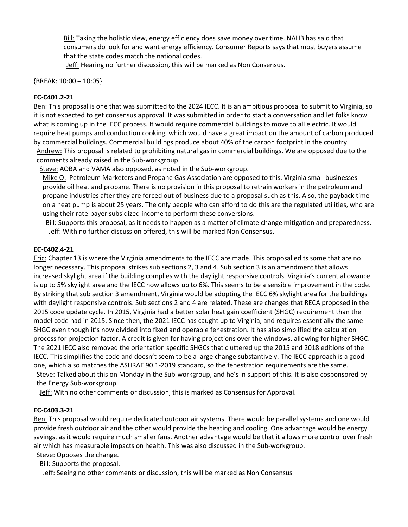Bill: Taking the holistic view, energy efficiency does save money over time. NAHB has said that consumers do look for and want energy efficiency. Consumer Reports says that most buyers assume that the state codes match the national codes.

Jeff: Hearing no further discussion, this will be marked as Non Consensus.

{BREAK: 10:00 – 10:05}

## **EC-C401.2-21**

Ben: This proposal is one that was submitted to the 2024 IECC. It is an ambitious proposal to submit to Virginia, so it is not expected to get consensus approval. It was submitted in order to start a conversation and let folks know what is coming up in the IECC process. It would require commercial buildings to move to all electric. It would require heat pumps and conduction cooking, which would have a great impact on the amount of carbon produced by commercial buildings. Commercial buildings produce about 40% of the carbon footprint in the country. Andrew: This proposal is related to prohibiting natural gas in commercial buildings. We are opposed due to the comments already raised in the Sub-workgroup.

Steve: AOBA and VAMA also opposed, as noted in the Sub-workgroup.

Mike O: Petroleum Marketers and Propane Gas Association are opposed to this. Virginia small businesses provide oil heat and propane. There is no provision in this proposal to retrain workers in the petroleum and propane industries after they are forced out of business due to a proposal such as this. Also, the payback time on a heat pump is about 25 years. The only people who can afford to do this are the regulated utilities, who are using their rate-payer subsidized income to perform these conversions.

Bill: Supports this proposal, as it needs to happen as a matter of climate change mitigation and preparedness. Jeff: With no further discussion offered, this will be marked Non Consensus.

#### **EC-C402.4-21**

Eric: Chapter 13 is where the Virginia amendments to the IECC are made. This proposal edits some that are no longer necessary. This proposal strikes sub sections 2, 3 and 4. Sub section 3 is an amendment that allows increased skylight area if the building complies with the daylight responsive controls. Virginia's current allowance is up to 5% skylight area and the IECC now allows up to 6%. This seems to be a sensible improvement in the code. By striking that sub section 3 amendment, Virginia would be adopting the IECC 6% skylight area for the buildings with daylight responsive controls. Sub sections 2 and 4 are related. These are changes that RECA proposed in the 2015 code update cycle. In 2015, Virginia had a better solar heat gain coefficient (SHGC) requirement than the model code had in 2015. Since then, the 2021 IECC has caught up to Virginia, and requires essentially the same SHGC even though it's now divided into fixed and operable fenestration. It has also simplified the calculation process for projection factor. A credit is given for having projections over the windows, allowing for higher SHGC. The 2021 IECC also removed the orientation specific SHGCs that cluttered up the 2015 and 2018 editions of the IECC. This simplifies the code and doesn't seem to be a large change substantively. The IECC approach is a good one, which also matches the ASHRAE 90.1-2019 standard, so the fenestration requirements are the same. Steve: Talked about this on Monday in the Sub-workgroup, and he's in support of this. It is also cosponsored by the Energy Sub-workgroup.

Jeff: With no other comments or discussion, this is marked as Consensus for Approval.

## **EC-C403.3-21**

Ben: This proposal would require dedicated outdoor air systems. There would be parallel systems and one would provide fresh outdoor air and the other would provide the heating and cooling. One advantage would be energy savings, as it would require much smaller fans. Another advantage would be that it allows more control over fresh air which has measurable impacts on health. This was also discussed in the Sub-workgroup.

Steve: Opposes the change.

**Bill:** Supports the proposal.

Jeff: Seeing no other comments or discussion, this will be marked as Non Consensus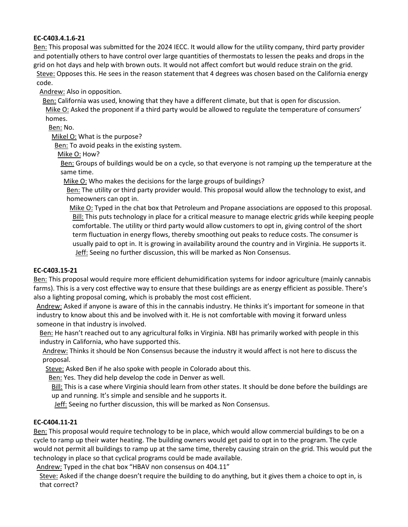## **EC-C403.4.1.6-21**

Ben: This proposal was submitted for the 2024 IECC. It would allow for the utility company, third party provider and potentially others to have control over large quantities of thermostats to lessen the peaks and drops in the grid on hot days and help with brown outs. It would not affect comfort but would reduce strain on the grid. Steve: Opposes this. He sees in the reason statement that 4 degrees was chosen based on the California energy code.

Andrew: Also in opposition.

Ben: California was used, knowing that they have a different climate, but that is open for discussion.

Mike O: Asked the proponent if a third party would be allowed to regulate the temperature of consumers' homes.

Ben: No.

Mikel O: What is the purpose?

Ben: To avoid peaks in the existing system.

Mike O: How?

Ben: Groups of buildings would be on a cycle, so that everyone is not ramping up the temperature at the same time.

Mike O: Who makes the decisions for the large groups of buildings?

Ben: The utility or third party provider would. This proposal would allow the technology to exist, and homeowners can opt in.

Mike O: Typed in the chat box that Petroleum and Propane associations are opposed to this proposal. Bill: This puts technology in place for a critical measure to manage electric grids while keeping people comfortable. The utility or third party would allow customers to opt in, giving control of the short term fluctuation in energy flows, thereby smoothing out peaks to reduce costs. The consumer is usually paid to opt in. It is growing in availability around the country and in Virginia. He supports it. Jeff: Seeing no further discussion, this will be marked as Non Consensus.

## **EC-C403.15-21**

Ben: This proposal would require more efficient dehumidification systems for indoor agriculture (mainly cannabis farms). This is a very cost effective way to ensure that these buildings are as energy efficient as possible. There's also a lighting proposal coming, which is probably the most cost efficient.

Andrew: Asked if anyone is aware of this in the cannabis industry. He thinks it's important for someone in that industry to know about this and be involved with it. He is not comfortable with moving it forward unless someone in that industry is involved.

Ben: He hasn't reached out to any agricultural folks in Virginia. NBI has primarily worked with people in this industry in California, who have supported this.

Andrew: Thinks it should be Non Consensus because the industry it would affect is not here to discuss the proposal.

Steve: Asked Ben if he also spoke with people in Colorado about this.

Ben: Yes. They did help develop the code in Denver as well.

Bill: This is a case where Virginia should learn from other states. It should be done before the buildings are up and running. It's simple and sensible and he supports it.

Jeff: Seeing no further discussion, this will be marked as Non Consensus.

# **EC-C404.11-21**

Ben: This proposal would require technology to be in place, which would allow commercial buildings to be on a cycle to ramp up their water heating. The building owners would get paid to opt in to the program. The cycle would not permit all buildings to ramp up at the same time, thereby causing strain on the grid. This would put the technology in place so that cyclical programs could be made available.

Andrew: Typed in the chat box "HBAV non consensus on 404.11"

Steve: Asked if the change doesn't require the building to do anything, but it gives them a choice to opt in, is that correct?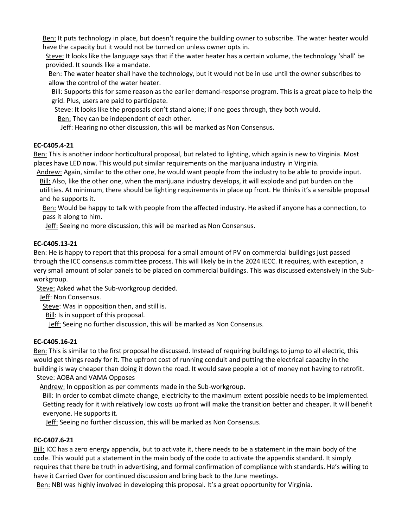Ben: It puts technology in place, but doesn't require the building owner to subscribe. The water heater would have the capacity but it would not be turned on unless owner opts in.

Steve: It looks like the language says that if the water heater has a certain volume, the technology 'shall' be provided. It sounds like a mandate.

Ben: The water heater shall have the technology, but it would not be in use until the owner subscribes to allow the control of the water heater.

Bill: Supports this for same reason as the earlier demand-response program. This is a great place to help the grid. Plus, users are paid to participate.

Steve: It looks like the proposals don't stand alone; if one goes through, they both would.

Ben: They can be independent of each other.

Jeff: Hearing no other discussion, this will be marked as Non Consensus.

## **EC-C405.4-21**

Ben: This is another indoor horticultural proposal, but related to lighting, which again is new to Virginia. Most places have LED now. This would put similar requirements on the marijuana industry in Virginia.

Andrew: Again, similar to the other one, he would want people from the industry to be able to provide input. Bill: Also, like the other one, when the marijuana industry develops, it will explode and put burden on the utilities. At minimum, there should be lighting requirements in place up front. He thinks it's a sensible proposal and he supports it.

Ben: Would be happy to talk with people from the affected industry. He asked if anyone has a connection, to pass it along to him.

**Jeff:** Seeing no more discussion, this will be marked as Non Consensus.

## **EC-C405.13-21**

Ben: He is happy to report that this proposal for a small amount of PV on commercial buildings just passed through the ICC consensus committee process. This will likely be in the 2024 IECC. It requires, with exception, a very small amount of solar panels to be placed on commercial buildings. This was discussed extensively in the Subworkgroup.

Steve: Asked what the Sub-workgroup decided.

Jeff: Non Consensus.

Steve: Was in opposition then, and still is.

Bill: Is in support of this proposal.

**Jeff:** Seeing no further discussion, this will be marked as Non Consensus.

## **EC-C405.16-21**

Ben: This is similar to the first proposal he discussed. Instead of requiring buildings to jump to all electric, this would get things ready for it. The upfront cost of running conduit and putting the electrical capacity in the building is way cheaper than doing it down the road. It would save people a lot of money not having to retrofit. Steve: AOBA and VAMA Opposes

Andrew: In opposition as per comments made in the Sub-workgroup.

Bill: In order to combat climate change, electricity to the maximum extent possible needs to be implemented. Getting ready for it with relatively low costs up front will make the transition better and cheaper. It will benefit everyone. He supports it.

**Jeff:** Seeing no further discussion, this will be marked as Non Consensus.

## **EC-C407.6-21**

Bill: ICC has a zero energy appendix, but to activate it, there needs to be a statement in the main body of the code. This would put a statement in the main body of the code to activate the appendix standard. It simply requires that there be truth in advertising, and formal confirmation of compliance with standards. He's willing to have it Carried Over for continued discussion and bring back to the June meetings.

Ben: NBI was highly involved in developing this proposal. It's a great opportunity for Virginia.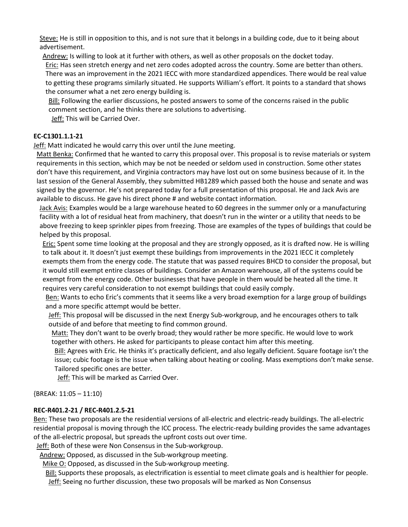Steve: He is still in opposition to this, and is not sure that it belongs in a building code, due to it being about advertisement.

Andrew: Is willing to look at it further with others, as well as other proposals on the docket today.

Eric: Has seen stretch energy and net zero codes adopted across the country. Some are better than others. There was an improvement in the 2021 IECC with more standardized appendices. There would be real value to getting these programs similarly situated. He supports William's effort. It points to a standard that shows the consumer what a net zero energy building is.

Bill: Following the earlier discussions, he posted answers to some of the concerns raised in the public comment section, and he thinks there are solutions to advertising.

Jeff: This will be Carried Over.

# **EC-C1301.1.1-21**

**Jeff:** Matt indicated he would carry this over until the June meeting.

Matt Benka: Confirmed that he wanted to carry this proposal over. This proposal is to revise materials or system requirements in this section, which may be not be needed or seldom used in construction. Some other states don't have this requirement, and Virginia contractors may have lost out on some business because of it. In the last session of the General Assembly, they submitted HB1289 which passed both the house and senate and was signed by the governor. He's not prepared today for a full presentation of this proposal. He and Jack Avis are available to discuss. He gave his direct phone # and website contact information.

Jack Avis: Examples would be a large warehouse heated to 60 degrees in the summer only or a manufacturing facility with a lot of residual heat from machinery, that doesn't run in the winter or a utility that needs to be above freezing to keep sprinkler pipes from freezing. Those are examples of the types of buildings that could be helped by this proposal.

Eric: Spent some time looking at the proposal and they are strongly opposed, as it is drafted now. He is willing to talk about it. It doesn't just exempt these buildings from improvements in the 2021 IECC it completely exempts them from the energy code. The statute that was passed requires BHCD to consider the proposal, but it would still exempt entire classes of buildings. Consider an Amazon warehouse, all of the systems could be exempt from the energy code. Other businesses that have people in them would be heated all the time. It requires very careful consideration to not exempt buildings that could easily comply.

Ben: Wants to echo Eric's comments that it seems like a very broad exemption for a large group of buildings and a more specific attempt would be better.

Jeff: This proposal will be discussed in the next Energy Sub-workgroup, and he encourages others to talk outside of and before that meeting to find common ground.

Matt: They don't want to be overly broad; they would rather be more specific. He would love to work together with others. He asked for participants to please contact him after this meeting.

Bill: Agrees with Eric. He thinks it's practically deficient, and also legally deficient. Square footage isn't the issue; cubic footage is the issue when talking about heating or cooling. Mass exemptions don't make sense. Tailored specific ones are better.

Jeff: This will be marked as Carried Over.

{BREAK: 11:05 – 11:10}

# **REC-R401.2-21 / REC-R401.2.5-21**

Ben: These two proposals are the residential versions of all-electric and electric-ready buildings. The all-electric residential proposal is moving through the ICC process. The electric-ready building provides the same advantages of the all-electric proposal, but spreads the upfront costs out over time.

Jeff: Both of these were Non Consensus in the Sub-workgroup.

Andrew: Opposed, as discussed in the Sub-workgroup meeting.

Mike O: Opposed, as discussed in the Sub-workgroup meeting.

Bill: Supports these proposals, as electrification is essential to meet climate goals and is healthier for people. Jeff: Seeing no further discussion, these two proposals will be marked as Non Consensus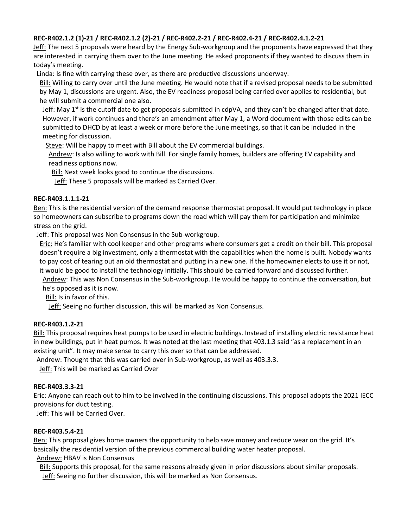# **REC-R402.1.2 (1)-21 / REC-R402.1.2 (2)-21 / REC-R402.2-21 / REC-R402.4-21 / REC-R402.4.1.2-21**

Jeff: The next 5 proposals were heard by the Energy Sub-workgroup and the proponents have expressed that they are interested in carrying them over to the June meeting. He asked proponents if they wanted to discuss them in today's meeting.

Linda: Is fine with carrying these over, as there are productive discussions underway.

Bill: Willing to carry over until the June meeting. He would note that if a revised proposal needs to be submitted by May 1, discussions are urgent. Also, the EV readiness proposal being carried over applies to residential, but he will submit a commercial one also.

Jeff: May  $1<sup>st</sup>$  is the cutoff date to get proposals submitted in cdpVA, and they can't be changed after that date. However, if work continues and there's an amendment after May 1, a Word document with those edits can be submitted to DHCD by at least a week or more before the June meetings, so that it can be included in the meeting for discussion.

Steve: Will be happy to meet with Bill about the EV commercial buildings.

Andrew: Is also willing to work with Bill. For single family homes, builders are offering EV capability and readiness options now.

Bill: Next week looks good to continue the discussions.

Jeff: These 5 proposals will be marked as Carried Over.

## **REC-R403.1.1.1-21**

Ben: This is the residential version of the demand response thermostat proposal. It would put technology in place so homeowners can subscribe to programs down the road which will pay them for participation and minimize stress on the grid.

Jeff: This proposal was Non Consensus in the Sub-workgroup.

Eric: He's familiar with cool keeper and other programs where consumers get a credit on their bill. This proposal doesn't require a big investment, only a thermostat with the capabilities when the home is built. Nobody wants to pay cost of tearing out an old thermostat and putting in a new one. If the homeowner elects to use it or not, it would be good to install the technology initially. This should be carried forward and discussed further.

Andrew: This was Non Consensus in the Sub-workgroup. He would be happy to continue the conversation, but he's opposed as it is now.

Bill: Is in favor of this.

Jeff: Seeing no further discussion, this will be marked as Non Consensus.

## **REC-R403.1.2-21**

Bill: This proposal requires heat pumps to be used in electric buildings. Instead of installing electric resistance heat in new buildings, put in heat pumps. It was noted at the last meeting that 403.1.3 said "as a replacement in an existing unit". It may make sense to carry this over so that can be addressed.

Andrew: Thought that this was carried over in Sub-workgroup, as well as 403.3.3.

Jeff: This will be marked as Carried Over

## **REC-R403.3.3-21**

Eric: Anyone can reach out to him to be involved in the continuing discussions. This proposal adopts the 2021 IECC provisions for duct testing.

Jeff: This will be Carried Over.

## **REC-R403.5.4-21**

Ben: This proposal gives home owners the opportunity to help save money and reduce wear on the grid. It's basically the residential version of the previous commercial building water heater proposal.

Andrew: HBAV is Non Consensus

Bill: Supports this proposal, for the same reasons already given in prior discussions about similar proposals.

Jeff: Seeing no further discussion, this will be marked as Non Consensus.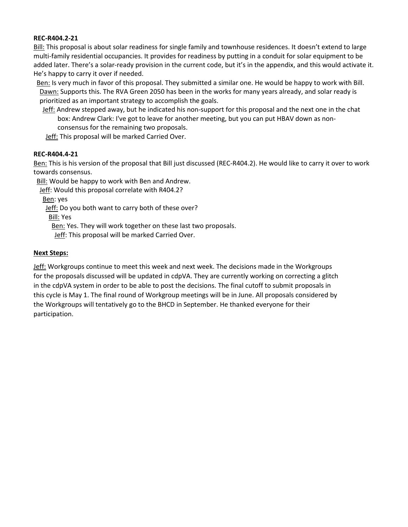## **REC-R404.2-21**

Bill: This proposal is about solar readiness for single family and townhouse residences. It doesn't extend to large multi-family residential occupancies. It provides for readiness by putting in a conduit for solar equipment to be added later. There's a solar-ready provision in the current code, but it's in the appendix, and this would activate it. He's happy to carry it over if needed.

Ben: Is very much in favor of this proposal. They submitted a similar one. He would be happy to work with Bill. Dawn: Supports this. The RVA Green 2050 has been in the works for many years already, and solar ready is prioritized as an important strategy to accomplish the goals.

Jeff: Andrew stepped away, but he indicated his non-support for this proposal and the next one in the chat box: Andrew Clark: I've got to leave for another meeting, but you can put HBAV down as nonconsensus for the remaining two proposals.

Jeff: This proposal will be marked Carried Over.

## **REC-R404.4-21**

Ben: This is his version of the proposal that Bill just discussed (REC-R404.2). He would like to carry it over to work towards consensus.

Bill: Would be happy to work with Ben and Andrew.

Jeff: Would this proposal correlate with R404.2?

Ben: yes

Jeff: Do you both want to carry both of these over?

Bill: Yes

Ben: Yes. They will work together on these last two proposals.

Jeff: This proposal will be marked Carried Over.

## **Next Steps:**

Jeff: Workgroups continue to meet this week and next week. The decisions made in the Workgroups for the proposals discussed will be updated in cdpVA. They are currently working on correcting a glitch in the cdpVA system in order to be able to post the decisions. The final cutoff to submit proposals in this cycle is May 1. The final round of Workgroup meetings will be in June. All proposals considered by the Workgroups will tentatively go to the BHCD in September. He thanked everyone for their participation.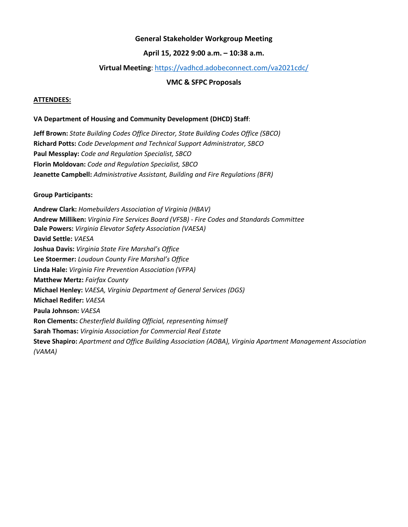## **General Stakeholder Workgroup Meeting**

## **April 15, 2022 9:00 a.m. – 10:38 a.m.**

## **Virtual Meeting**: <https://vadhcd.adobeconnect.com/va2021cdc/>

## **VMC & SFPC Proposals**

#### **ATTENDEES:**

#### **VA Department of Housing and Community Development (DHCD) Staff**:

**Jeff Brown:** *State Building Codes Office Director, State Building Codes Office (SBCO)* **Richard Potts:** *Code Development and Technical Support Administrator, SBCO* **Paul Messplay:** *Code and Regulation Specialist, SBCO* **Florin Moldovan:** *Code and Regulation Specialist, SBCO* **Jeanette Campbell:** *Administrative Assistant, Building and Fire Regulations (BFR)*

#### **Group Participants:**

**Andrew Clark:** *Homebuilders Association of Virginia (HBAV)* **Andrew Milliken:** *Virginia Fire Services Board (VFSB) - Fire Codes and Standards Committee* **Dale Powers:** *Virginia Elevator Safety Association (VAESA)* **David Settle:** *VAESA* **Joshua Davis:** *Virginia State Fire Marshal's Office* **Lee Stoermer:** *Loudoun County Fire Marshal's Office* **Linda Hale:** *Virginia Fire Prevention Association (VFPA)* **Matthew Mertz:** *Fairfax County* **Michael Henley:** *VAESA, Virginia Department of General Services (DGS)* **Michael Redifer:** *VAESA* **Paula Johnson:** *VAESA* **Ron Clements:** *Chesterfield Building Official, representing himself* **Sarah Thomas:** *Virginia Association for Commercial Real Estate* **Steve Shapiro:** *Apartment and Office Building Association (AOBA), Virginia Apartment Management Association (VAMA)*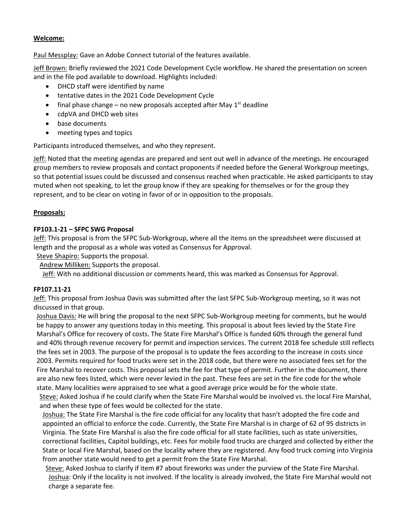## **Welcome:**

Paul Messplay: Gave an Adobe Connect tutorial of the features available.

Jeff Brown: Briefly reviewed the 2021 Code Development Cycle workflow. He shared the presentation on screen and in the file pod available to download. Highlights included:

- DHCD staff were identified by name
- tentative dates in the 2021 Code Development Cycle
- final phase change no new proposals accepted after May  $1<sup>st</sup>$  deadline
- cdpVA and DHCD web sites
- base documents
- meeting types and topics

Participants introduced themselves, and who they represent.

Jeff: Noted that the meeting agendas are prepared and sent out well in advance of the meetings. He encouraged group members to review proposals and contact proponents if needed before the General Workgroup meetings, so that potential issues could be discussed and consensus reached when practicable. He asked participants to stay muted when not speaking, to let the group know if they are speaking for themselves or for the group they represent, and to be clear on voting in favor of or in opposition to the proposals.

# **Proposals:**

# **FP103.1-21 – SFPC SWG Proposal**

Jeff: This proposal is from the SFPC Sub-Workgroup, where all the items on the spreadsheet were discussed at length and the proposal as a whole was voted as Consensus for Approval.

Steve Shapiro: Supports the proposal.

Andrew Milliken: Supports the proposal.

Jeff: With no additional discussion or comments heard, this was marked as Consensus for Approval.

# **FP107.11-21**

Jeff: This proposal from Joshua Davis was submitted after the last SFPC Sub-Workgroup meeting, so it was not discussed in that group.

Joshua Davis: He will bring the proposal to the next SFPC Sub-Workgroup meeting for comments, but he would be happy to answer any questions today in this meeting. This proposal is about fees levied by the State Fire Marshal's Office for recovery of costs. The State Fire Marshal's Office is funded 60% through the general fund and 40% through revenue recovery for permit and inspection services. The current 2018 fee schedule still reflects the fees set in 2003. The purpose of the proposal is to update the fees according to the increase in costs since 2003. Permits required for food trucks were set in the 2018 code, but there were no associated fees set for the Fire Marshal to recover costs. This proposal sets the fee for that type of permit. Further in the document, there are also new fees listed, which were never levied in the past. These fees are set in the fire code for the whole state. Many localities were appraised to see what a good average price would be for the whole state. Steve: Asked Joshua if he could clarify when the State Fire Marshal would be involved vs. the local Fire Marshal, and when these type of fees would be collected for the state.

Joshua: The State Fire Marshal is the fire code official for any locality that hasn't adopted the fire code and appointed an official to enforce the code. Currently, the State Fire Marshal is in charge of 62 of 95 districts in Virginia. The State Fire Marshal is also the fire code official for all state facilities, such as state universities, correctional facilities, Capitol buildings, etc. Fees for mobile food trucks are charged and collected by either the State or local Fire Marshal, based on the locality where they are registered. Any food truck coming into Virginia from another state would need to get a permit from the State Fire Marshal.

Steve: Asked Joshua to clarify if item #7 about fireworks was under the purview of the State Fire Marshal. Joshua: Only if the locality is not involved. If the locality is already involved, the State Fire Marshal would not charge a separate fee.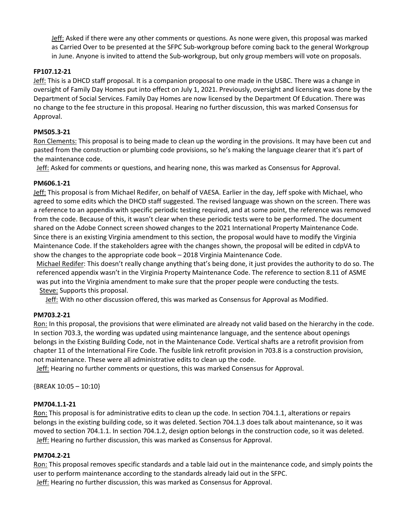Jeff: Asked if there were any other comments or questions. As none were given, this proposal was marked as Carried Over to be presented at the SFPC Sub-workgroup before coming back to the general Workgroup in June. Anyone is invited to attend the Sub-workgroup, but only group members will vote on proposals.

## **FP107.12-21**

Jeff: This is a DHCD staff proposal. It is a companion proposal to one made in the USBC. There was a change in oversight of Family Day Homes put into effect on July 1, 2021. Previously, oversight and licensing was done by the Department of Social Services. Family Day Homes are now licensed by the Department Of Education. There was no change to the fee structure in this proposal. Hearing no further discussion, this was marked Consensus for Approval.

## **PM505.3-21**

Ron Clements: This proposal is to being made to clean up the wording in the provisions. It may have been cut and pasted from the construction or plumbing code provisions, so he's making the language clearer that it's part of the maintenance code.

Jeff: Asked for comments or questions, and hearing none, this was marked as Consensus for Approval.

## **PM606.1-21**

Jeff: This proposal is from Michael Redifer, on behalf of VAESA. Earlier in the day, Jeff spoke with Michael, who agreed to some edits which the DHCD staff suggested. The revised language was shown on the screen. There was a reference to an appendix with specific periodic testing required, and at some point, the reference was removed from the code. Because of this, it wasn't clear when these periodic tests were to be performed. The document shared on the Adobe Connect screen showed changes to the 2021 International Property Maintenance Code. Since there is an existing Virginia amendment to this section, the proposal would have to modify the Virginia Maintenance Code. If the stakeholders agree with the changes shown, the proposal will be edited in cdpVA to show the changes to the appropriate code book – 2018 Virginia Maintenance Code.

Michael Redifer: This doesn't really change anything that's being done, it just provides the authority to do so. The referenced appendix wasn't in the Virginia Property Maintenance Code. The reference to section 8.11 of ASME was put into the Virginia amendment to make sure that the proper people were conducting the tests. Steve: Supports this proposal.

Jeff: With no other discussion offered, this was marked as Consensus for Approval as Modified.

## **PM703.2-21**

Ron: In this proposal, the provisions that were eliminated are already not valid based on the hierarchy in the code. In section 703.3, the wording was updated using maintenance language, and the sentence about openings belongs in the Existing Building Code, not in the Maintenance Code. Vertical shafts are a retrofit provision from chapter 11 of the International Fire Code. The fusible link retrofit provision in 703.8 is a construction provision, not maintenance. These were all administrative edits to clean up the code.

Jeff: Hearing no further comments or questions, this was marked Consensus for Approval.

{BREAK 10:05 – 10:10}

## **PM704.1.1-21**

Ron: This proposal is for administrative edits to clean up the code. In section 704.1.1, alterations or repairs belongs in the existing building code, so it was deleted. Section 704.1.3 does talk about maintenance, so it was moved to section 704.1.1. In section 704.1.2, design option belongs in the construction code, so it was deleted. Jeff: Hearing no further discussion, this was marked as Consensus for Approval.

## **PM704.2-21**

Ron: This proposal removes specific standards and a table laid out in the maintenance code, and simply points the user to perform maintenance according to the standards already laid out in the SFPC. Jeff: Hearing no further discussion, this was marked as Consensus for Approval.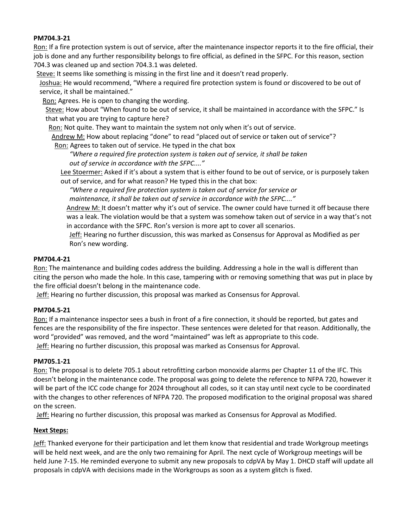## **PM704.3-21**

Ron: If a fire protection system is out of service, after the maintenance inspector reports it to the fire official, their job is done and any further responsibility belongs to fire official, as defined in the SFPC. For this reason, section 704.3 was cleaned up and section 704.3.1 was deleted.

Steve: It seems like something is missing in the first line and it doesn't read properly.

Joshua: He would recommend, "Where a required fire protection system is found or discovered to be out of service, it shall be maintained."

Ron: Agrees. He is open to changing the wording.

Steve: How about "When found to be out of service, it shall be maintained in accordance with the SFPC." Is that what you are trying to capture here?

Ron: Not quite. They want to maintain the system not only when it's out of service.

Andrew M: How about replacing "done" to read "placed out of service or taken out of service"?

Ron: Agrees to taken out of service. He typed in the chat box

*"Where a required fire protection system is taken out of service, it shall be taken out of service in accordance with the SFPC...."*

Lee Stoermer: Asked if it's about a system that is either found to be out of service, or is purposely taken out of service, and for what reason? He typed this in the chat box:

*"Where a required fire protection system is taken out of service for service or* 

*maintenance, it shall be taken out of service in accordance with the SFPC...."*

Andrew M: It doesn't matter why it's out of service. The owner could have turned it off because there was a leak. The violation would be that a system was somehow taken out of service in a way that's not in accordance with the SFPC. Ron's version is more apt to cover all scenarios.

Jeff: Hearing no further discussion, this was marked as Consensus for Approval as Modified as per Ron's new wording.

## **PM704.4-21**

Ron: The maintenance and building codes address the building. Addressing a hole in the wall is different than citing the person who made the hole. In this case, tampering with or removing something that was put in place by the fire official doesn't belong in the maintenance code.

Jeff: Hearing no further discussion, this proposal was marked as Consensus for Approval.

## **PM704.5-21**

Ron: If a maintenance inspector sees a bush in front of a fire connection, it should be reported, but gates and fences are the responsibility of the fire inspector. These sentences were deleted for that reason. Additionally, the word "provided" was removed, and the word "maintained" was left as appropriate to this code. Jeff: Hearing no further discussion, this proposal was marked as Consensus for Approval.

## **PM705.1-21**

Ron: The proposal is to delete 705.1 about retrofitting carbon monoxide alarms per Chapter 11 of the IFC. This doesn't belong in the maintenance code. The proposal was going to delete the reference to NFPA 720, however it will be part of the ICC code change for 2024 throughout all codes, so it can stay until next cycle to be coordinated with the changes to other references of NFPA 720. The proposed modification to the original proposal was shared on the screen.

Jeff: Hearing no further discussion, this proposal was marked as Consensus for Approval as Modified.

## **Next Steps:**

Jeff: Thanked everyone for their participation and let them know that residential and trade Workgroup meetings will be held next week, and are the only two remaining for April. The next cycle of Workgroup meetings will be held June 7-15. He reminded everyone to submit any new proposals to cdpVA by May 1. DHCD staff will update all proposals in cdpVA with decisions made in the Workgroups as soon as a system glitch is fixed.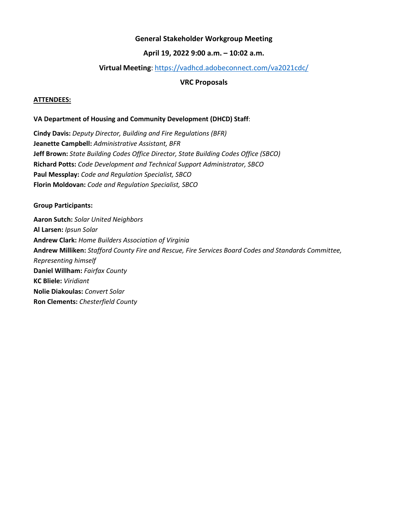## **General Stakeholder Workgroup Meeting**

## **April 19, 2022 9:00 a.m. – 10:02 a.m.**

## **Virtual Meeting**:<https://vadhcd.adobeconnect.com/va2021cdc/>

## **VRC Proposals**

#### **ATTENDEES:**

#### **VA Department of Housing and Community Development (DHCD) Staff**:

**Cindy Davis:** *Deputy Director, Building and Fire Regulations (BFR)* **Jeanette Campbell:** *Administrative Assistant, BFR* **Jeff Brown:** *State Building Codes Office Director, State Building Codes Office (SBCO)* **Richard Potts:** *Code Development and Technical Support Administrator, SBCO* **Paul Messplay:** *Code and Regulation Specialist, SBCO* **Florin Moldovan:** *Code and Regulation Specialist, SBCO*

#### **Group Participants:**

**Aaron Sutch:** *Solar United Neighbors* **Al Larsen:** *Ipsun Solar* **Andrew Clark:** *Home Builders Association of Virginia* **Andrew Milliken:** *Stafford County Fire and Rescue, Fire Services Board Codes and Standards Committee, Representing himself* **Daniel Willham:** *Fairfax County* **KC Bliele:** *Viridiant* **Nolie Diakoulas:** *Convert Solar* **Ron Clements:** *Chesterfield County*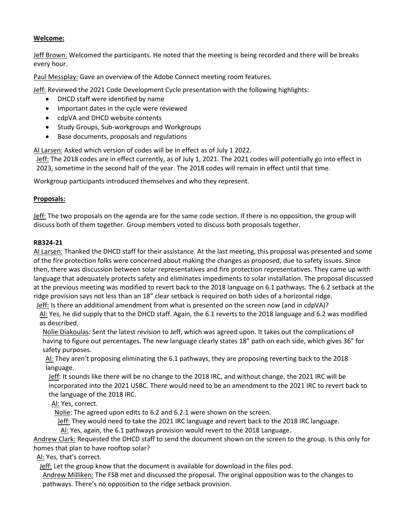# **Welcome:**

Jeff Brown: Welcomed the participants. He noted that the meeting is being recorded and there will be breaks every hour.

Paul Messplay: Gave an overview of the Adobe Connect meeting room features.

Jeff: Reviewed the 2021 Code Development Cycle presentation with the following highlights:

- DHCD staff were identified by name
- Important dates in the cycle were reviewed
- cdpVA and DHCD website contents
- Study Groups, Sub-workgroups and Workgroups
- Base documents, proposals and regulations

Al Larsen: Asked which version of codes will be in effect as of July 1 2022.

Jeff: The 2018 codes are in effect currently, as of July 1, 2021. The 2021 codes will potentially go into effect in 2023, sometime in the second half of the year. The 2018 codes will remain in effect until that time.

Workgroup participants introduced themselves and who they represent.

# **Proposals:**

Jeff: The two proposals on the agenda are for the same code section. If there is no opposition, the group will discuss both of them together. Group members voted to discuss both proposals together.

## **RB324-21**

Al Larsen: Thanked the DHCD staff for their assistance. At the last meeting, this proposal was presented and some of the fire protection folks were concerned about making the changes as proposed, due to safety issues. Since then, there was discussion between solar representatives and fire protection representatives. They came up with language that adequately protects safety and eliminates impediments to solar installation. The proposal discussed at the previous meeting was modified to revert back to the 2018 language on 6.1 pathways. The 6.2 setback at the ridge provision says not less than an 18" clear setback is required on both sides of a horizontal ridge.

Jeff: Is there an additional amendment from what is presented on the screen now (and in cdpVA)?

Al: Yes, he did supply that to the DHCD staff. Again, the 6.1 reverts to the 2018 language and 6.2 was modified as described.

Nolie Diakoulas: Sent the latest revision to Jeff, which was agreed upon. It takes out the complications of having to figure out percentages. The new language clearly states 18" path on each side, which gives 36" for safety purposes.

Al: They aren't proposing eliminating the 6.1 pathways, they are proposing reverting back to the 2018 language.

Jeff: It sounds like there will be no change to the 2018 IRC, and without change, the 2021 IRC will be incorporated into the 2021 USBC. There would need to be an amendment to the 2021 IRC to revert back to the language of the 2018 IRC.

Al: Yes, correct.

Nolie: The agreed upon edits to 6.2 and 6.2.1 were shown on the screen.

Jeff: They would need to take the 2021 IRC language and revert back to the 2018 IRC language.

Al: Yes, again, the 6.1 pathways provision would revert to the 2018 Language.

Andrew Clark: Requested the DHCD staff to send the document shown on the screen to the group. Is this only for homes that plan to have rooftop solar?

Al: Yes, that's correct.

Jeff: Let the group know that the document is available for download in the files pod.

Andrew Milliken: The FSB met and discussed the proposal. The original opposition was to the changes to pathways. There's no opposition to the ridge setback provision.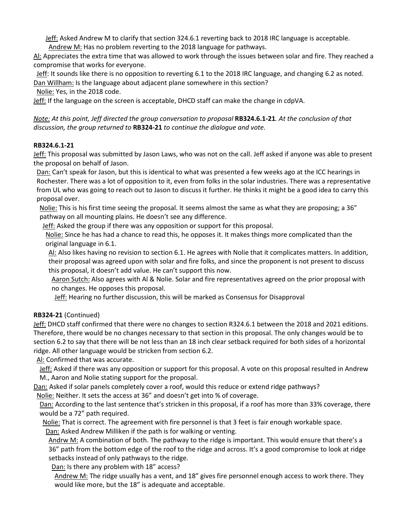Jeff: Asked Andrew M to clarify that section 324.6.1 reverting back to 2018 IRC language is acceptable.

Andrew M: Has no problem reverting to the 2018 language for pathways.

Al: Appreciates the extra time that was allowed to work through the issues between solar and fire. They reached a compromise that works for everyone.

Jeff: It sounds like there is no opposition to reverting 6.1 to the 2018 IRC language, and changing 6.2 as noted. Dan Willham: Is the language about adjacent plane somewhere in this section?

Nolie: Yes, in the 2018 code.

Jeff: If the language on the screen is acceptable, DHCD staff can make the change in cdpVA.

*Note: At this point, Jeff directed the group conversation to proposal RB324.6.1-21<i>. At the conclusion of that discussion, the group returned to* **RB324-21** *to continue the dialogue and vote.*

## **RB324.6.1-21**

Jeff: This proposal was submitted by Jason Laws, who was not on the call. Jeff asked if anyone was able to present the proposal on behalf of Jason.

Dan: Can't speak for Jason, but this is identical to what was presented a few weeks ago at the ICC hearings in Rochester. There was a lot of opposition to it, even from folks in the solar industries. There was a representative from UL who was going to reach out to Jason to discuss it further. He thinks it might be a good idea to carry this proposal over.

Nolie: This is his first time seeing the proposal. It seems almost the same as what they are proposing; a 36" pathway on all mounting plains. He doesn't see any difference.

**Jeff:** Asked the group if there was any opposition or support for this proposal.

Nolie: Since he has had a chance to read this, he opposes it. It makes things more complicated than the original language in 6.1.

Al: Also likes having no revision to section 6.1. He agrees with Nolie that it complicates matters. In addition, their proposal was agreed upon with solar and fire folks, and since the proponent is not present to discuss this proposal, it doesn't add value. He can't support this now.

Aaron Sutch: Also agrees with Al & Nolie. Solar and fire representatives agreed on the prior proposal with no changes. He opposes this proposal.

Jeff: Hearing no further discussion, this will be marked as Consensus for Disapproval

## **RB324-21** (Continued)

Jeff: DHCD staff confirmed that there were no changes to section R324.6.1 between the 2018 and 2021 editions. Therefore, there would be no changes necessary to that section in this proposal. The only changes would be to section 6.2 to say that there will be not less than an 18 inch clear setback required for both sides of a horizontal ridge. All other language would be stricken from section 6.2.

Al: Confirmed that was accurate.

Jeff: Asked if there was any opposition or support for this proposal. A vote on this proposal resulted in Andrew M., Aaron and Nolie stating support for the proposal.

Dan: Asked if solar panels completely cover a roof, would this reduce or extend ridge pathways?

Nolie: Neither. It sets the access at 36" and doesn't get into % of coverage.

Dan: According to the last sentence that's stricken in this proposal, if a roof has more than 33% coverage, there would be a 72" path required.

Nolie: That is correct. The agreement with fire personnel is that 3 feet is fair enough workable space.

Dan: Asked Andrew Milliken if the path is for walking or venting.

Andrw M: A combination of both. The pathway to the ridge is important. This would ensure that there's a 36" path from the bottom edge of the roof to the ridge and across. It's a good compromise to look at ridge setbacks instead of only pathways to the ridge.

Dan: Is there any problem with 18" access?

Andrew M: The ridge usually has a vent, and 18" gives fire personnel enough access to work there. They would like more, but the 18" is adequate and acceptable.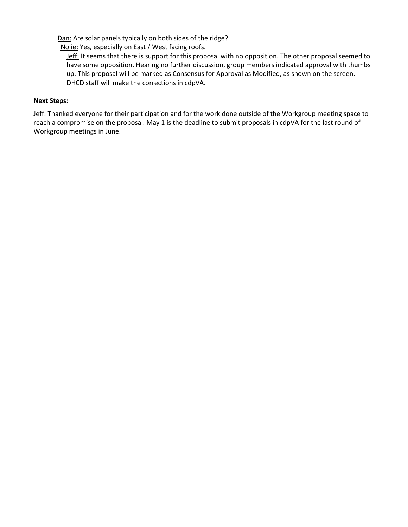Dan: Are solar panels typically on both sides of the ridge?

Nolie: Yes, especially on East / West facing roofs.

Jeff: It seems that there is support for this proposal with no opposition. The other proposal seemed to have some opposition. Hearing no further discussion, group members indicated approval with thumbs up. This proposal will be marked as Consensus for Approval as Modified, as shown on the screen. DHCD staff will make the corrections in cdpVA.

#### **Next Steps:**

Jeff: Thanked everyone for their participation and for the work done outside of the Workgroup meeting space to reach a compromise on the proposal. May 1 is the deadline to submit proposals in cdpVA for the last round of Workgroup meetings in June.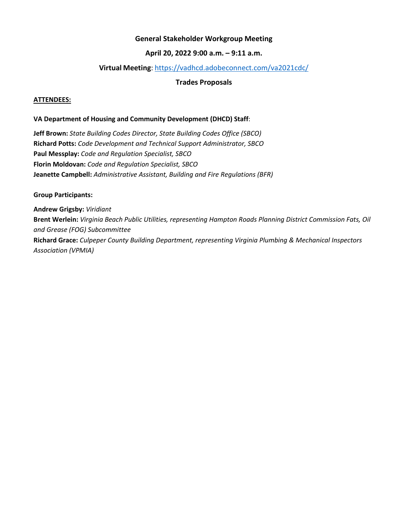# **General Stakeholder Workgroup Meeting**

# **April 20, 2022 9:00 a.m. – 9:11 a.m.**

## **Virtual Meeting**: <https://vadhcd.adobeconnect.com/va2021cdc/>

# **Trades Proposals**

#### **ATTENDEES:**

#### **VA Department of Housing and Community Development (DHCD) Staff**:

**Jeff Brown:** *State Building Codes Director, State Building Codes Office (SBCO)* **Richard Potts:** *Code Development and Technical Support Administrator, SBCO* **Paul Messplay:** *Code and Regulation Specialist, SBCO* **Florin Moldovan:** *Code and Regulation Specialist, SBCO* **Jeanette Campbell:** *Administrative Assistant, Building and Fire Regulations (BFR)*

#### **Group Participants:**

**Andrew Grigsby:** *Viridiant* **Brent Werlein:** *Virginia Beach Public Utilities, representing Hampton Roads Planning District Commission Fats, Oil and Grease (FOG) Subcommittee* **Richard Grace:** *Culpeper County Building Department, representing Virginia Plumbing & Mechanical Inspectors Association (VPMIA)*